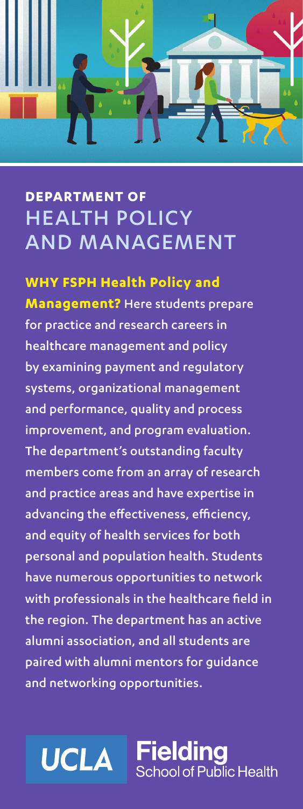# **DEPARTMENT OF** HEALTH POLICY AND MANAGEMENT

## **WHY FSPH Health Policy and**

**Management?** Here students prepare for practice and research careers in healthcare management and policy by examining payment and regulatory systems, organizational management and performance, quality and process improvement, and program evaluation. The department's outstanding faculty members come from an array of research and practice areas and have expertise in advancing the effectiveness, efficiency, and equity of health services for both personal and population health. Students have numerous opportunities to network with professionals in the healthcare field in the region. The department has an active alumni association, and all students are paired with alumni mentors for guidance and networking opportunities.



Fielding School of Public Health